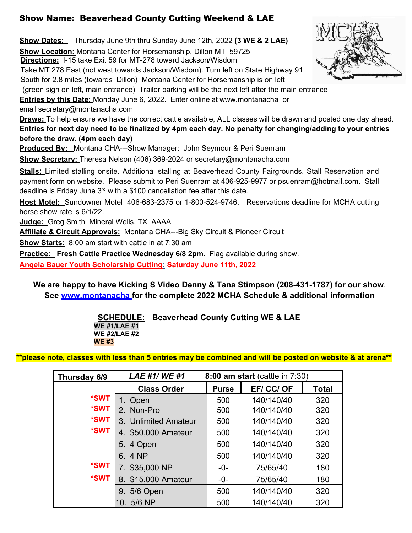## Show Name: Beaverhead County Cutting Weekend & LAE

**Show Dates:** Thursday June 9th thru Sunday June 12th, 2022 **(3 WE & 2 LAE) Show Location:** Montana Center for Horsemanship, Dillon MT 59725 **Directions:** I-15 take Exit 59 for MT-278 toward Jackson/Wisdom Take MT 278 East (not west towards Jackson/Wisdom). Turn left on State Highway 91 South for 2.8 miles (towards Dillon) Montana Center for Horsemanship is on left (green sign on left, main entrance) Trailer parking will be the next left after the main entrance **Entries by this Date:** Monday June 6, 2022. Enter online at [www.montanacha](http://www.montanacha.com/) or email [secretary@montanacha.com](mailto:secretary@montanacha.com) **Draws:** To help ensure we have the correct cattle available, ALL classes will be drawn and posted one day ahead. **Entries for next day need to be finalized by 4pm each day. No penalty for changing/adding to your entries before the draw. (4pm each day) Produced By:** Montana CHA---Show Manager: John Seymour & Peri Suenram **Show Secretary:** Theresa Nelson (406) 369-2024 or secretary@montanacha.com **Stalls:** Limited stalling onsite. Additional stalling at Beaverhead County Fairgrounds. Stall Reservation and payment form on website. Please submit to Peri Suenram at 406-925-9977 or [psuenram@hotmail.com.](mailto:psuenram@hotmail.com) Stall deadline is Friday June  $3<sup>rd</sup>$  with a \$100 cancellation fee after this date. **Host Motel:** Sundowner Motel 406-683-2375 or 1-800-524-9746. Reservations deadline for MCHA cutting horse show rate is 6/1/22. **Judge:** Greg Smith Mineral Wells, TX AAAA **Affiliate & Circuit Approvals:** Montana CHA---Big Sky Circuit & Pioneer Circuit **Show Starts:** 8:00 am start with cattle in at 7:30 am

**Practice: Fresh Cattle Practice Wednesday 6/8 2pm. Flag available during show.** 

**Angela Bauer Youth Scholarship Cutting: Saturday June 11th, 2022**

**We are happy to have Kicking S Video Denny & Tana Stimpson (208-431-1787) for our show**. **See www.montanacha for the complete 2022 MCHA Schedule & additional information**

> **SCHEDULE: Beaverhead County Cutting WE & LAE WE #1/LAE #1 WE #2/LAE #2 WE #3**

 **\*\*please note, classes with less than 5 entries may be combined and will be posted on website & at arena\*\***

| Thursday 6/9 | <b>LAE #1/WE #1</b>  | 8:00 am start (cattle in 7:30) |            |              |
|--------------|----------------------|--------------------------------|------------|--------------|
|              | <b>Class Order</b>   | <b>Purse</b>                   | EF/ CC/ OF | <b>Total</b> |
| *SWT         | 1. Open              | 500                            | 140/140/40 | 320          |
| *SWT         | 2. Non-Pro           | 500                            | 140/140/40 | 320          |
| *SWT         | 3. Unlimited Amateur | 500                            | 140/140/40 | 320          |
| *SWT         | 4. \$50,000 Amateur  | 500                            | 140/140/40 | 320          |
|              | 5. 4 Open            | 500                            | 140/140/40 | 320          |
|              | 6.4 NP               | 500                            | 140/140/40 | 320          |
| *SWT         | 7. \$35,000 NP       | $-0-$                          | 75/65/40   | 180          |
| *SWT         | 8. \$15,000 Amateur  | -0-                            | 75/65/40   | 180          |
|              | 5/6 Open<br>9.       | 500                            | 140/140/40 | 320          |
|              | 10. 5/6 NP           | 500                            | 140/140/40 | 320          |